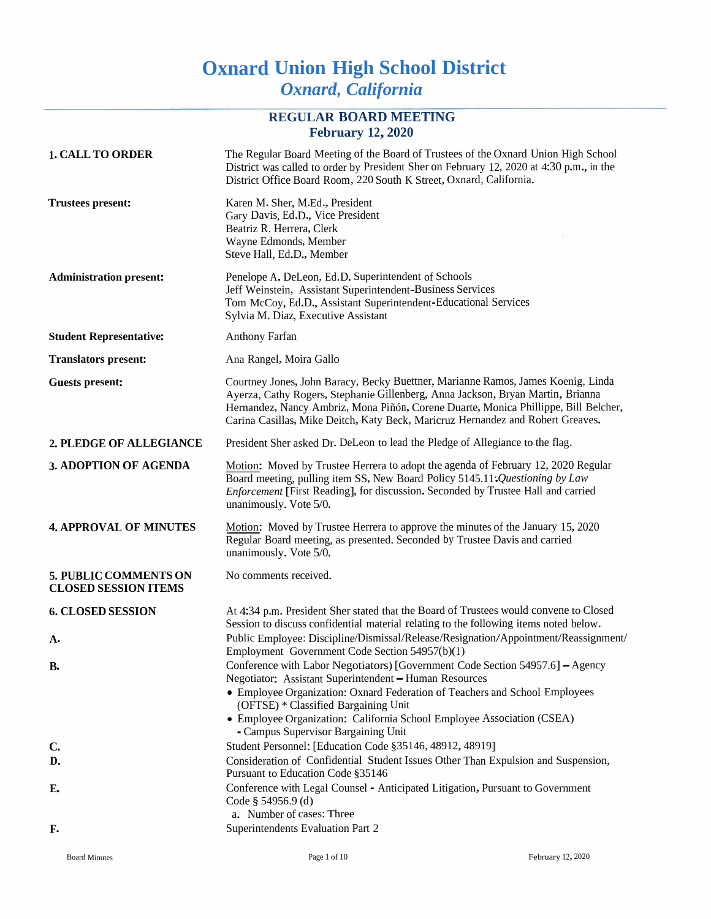# **Oxnard Union High School District** *Oxnard, California*

## **REGULAR BOARD MEETING February 12, 2020**

| <b>1. CALL TO ORDER</b>                              | The Regular Board Meeting of the Board of Trustees of the Oxnard Union High School<br>District was called to order by President Sher on February 12, 2020 at 4:30 p.m., in the<br>District Office Board Room, 220 South K Street, Oxnard, California.                                                                                                                           |
|------------------------------------------------------|---------------------------------------------------------------------------------------------------------------------------------------------------------------------------------------------------------------------------------------------------------------------------------------------------------------------------------------------------------------------------------|
| <b>Trustees present:</b>                             | Karen M. Sher, M.Ed., President<br>Gary Davis, Ed.D., Vice President<br>Beatriz R. Herrera, Clerk<br>Wayne Edmonds, Member<br>Steve Hall, Ed.D., Member                                                                                                                                                                                                                         |
| <b>Administration present:</b>                       | Penelope A. DeLeon, Ed.D. Superintendent of Schools<br>Jeff Weinstein, Assistant Superintendent-Business Services<br>Tom McCoy, Ed.D., Assistant Superintendent-Educational Services<br>Sylvia M. Diaz, Executive Assistant                                                                                                                                                     |
| <b>Student Representative:</b>                       | Anthony Farfan                                                                                                                                                                                                                                                                                                                                                                  |
| <b>Translators present:</b>                          | Ana Rangel, Moira Gallo                                                                                                                                                                                                                                                                                                                                                         |
| <b>Guests present:</b>                               | Courtney Jones, John Baracy, Becky Buettner, Marianne Ramos, James Koenig, Linda<br>Ayerza, Cathy Rogers, Stephanie Gillenberg, Anna Jackson, Bryan Martin, Brianna<br>Hernandez, Nancy Ambriz, Mona Piñón, Corene Duarte, Monica Phillippe, Bill Belcher,<br>Carina Casillas, Mike Deitch, Katy Beck, Maricruz Hernandez and Robert Greaves.                                   |
| 2. PLEDGE OF ALLEGIANCE                              | President Sher asked Dr. DeLeon to lead the Pledge of Allegiance to the flag.                                                                                                                                                                                                                                                                                                   |
| 3, ADOPTION OF AGENDA                                | Motion: Moved by Trustee Herrera to adopt the agenda of February 12, 2020 Regular<br>Board meeting, pulling item SS, New Board Policy 5145.11: Questioning by Law<br>Enforcement [First Reading], for discussion. Seconded by Trustee Hall and carried<br>unanimously. Vote 5/0.                                                                                                |
| <b>4. APPROVAL OF MINUTES</b>                        | Motion: Moved by Trustee Herrera to approve the minutes of the January 15, 2020<br>Regular Board meeting, as presented. Seconded by Trustee Davis and carried<br>unanimously. Vote 5/0.                                                                                                                                                                                         |
| 5. PUBLIC COMMENTS ON<br><b>CLOSED SESSION ITEMS</b> | No comments received.                                                                                                                                                                                                                                                                                                                                                           |
| <b>6. CLOSED SESSION</b>                             | At 4:34 p.m. President Sher stated that the Board of Trustees would convene to Closed<br>Session to discuss confidential material relating to the following items noted below.                                                                                                                                                                                                  |
| А.                                                   | Public Employee: Discipline/Dismissal/Release/Resignation/Appointment/Reassignment/<br>Employment Government Code Section 54957(b)(1)                                                                                                                                                                                                                                           |
| <b>B.</b>                                            | Conference with Labor Negotiators) [Government Code Section 54957.6] - Agency<br>Negotiator: Assistant Superintendent - Human Resources<br>• Employee Organization: Oxnard Federation of Teachers and School Employees<br>(OFTSE) * Classified Bargaining Unit<br>• Employee Organization: California School Employee Association (CSEA)<br>- Campus Supervisor Bargaining Unit |
| $\mathbf{C}$                                         | Student Personnel: [Education Code §35146, 48912, 48919]                                                                                                                                                                                                                                                                                                                        |
| D.                                                   | Consideration of Confidential Student Issues Other Than Expulsion and Suspension,<br>Pursuant to Education Code §35146                                                                                                                                                                                                                                                          |
| $E_{\bullet}$                                        | Conference with Legal Counsel - Anticipated Litigation, Pursuant to Government<br>Code § 54956.9 (d)<br>a. Number of cases: Three                                                                                                                                                                                                                                               |
| F.                                                   | Superintendents Evaluation Part 2                                                                                                                                                                                                                                                                                                                                               |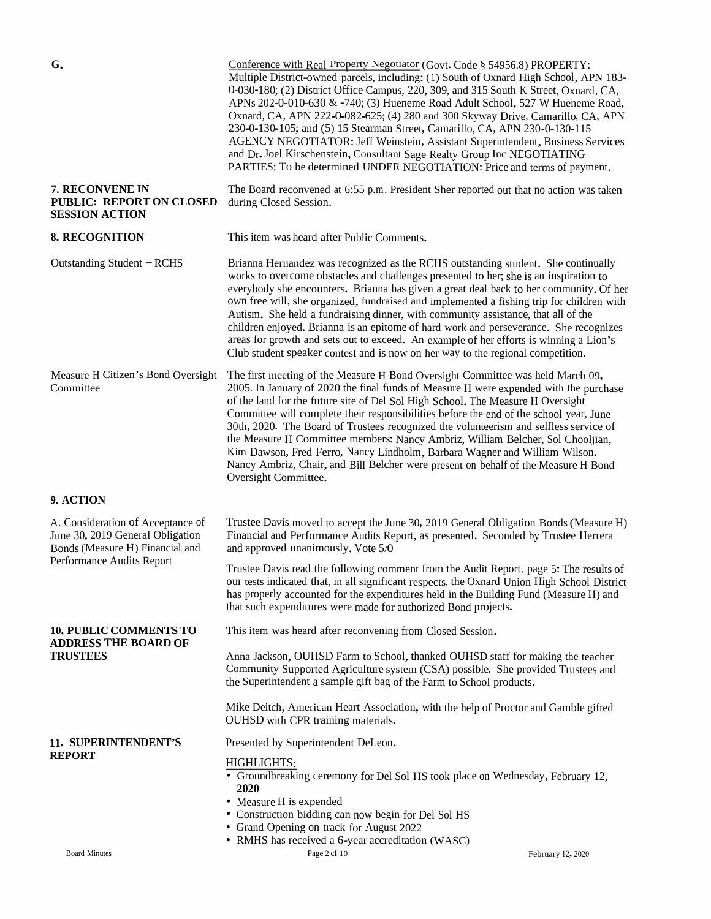| G.                                                                                                                                    | Conference with Real Property Negotiator (Govt. Code § 54956.8) PROPERTY:<br>Multiple District-owned parcels, including: (1) South of Oxnard High School, APN 183-<br>0-030-180; (2) District Office Campus, 220, 309, and 315 South K Street, Oxnard, CA,<br>APNs 202-0-010-630 & -740; (3) Hueneme Road Adult School, 527 W Hueneme Road,<br>Oxnard, CA, APN 222-0-082-625; (4) 280 and 300 Skyway Drive, Camarillo, CA, APN<br>230-0-130-105; and (5) 15 Stearman Street, Camarillo, CA, APN 230-0-130-115<br>AGENCY NEGOTIATOR: Jeff Weinstein, Assistant Superintendent, Business Services<br>and Dr. Joel Kirschenstein, Consultant Sage Realty Group Inc.NEGOTIATING<br>PARTIES: To be determined UNDER NEGOTIATION: Price and terms of payment. |                   |
|---------------------------------------------------------------------------------------------------------------------------------------|---------------------------------------------------------------------------------------------------------------------------------------------------------------------------------------------------------------------------------------------------------------------------------------------------------------------------------------------------------------------------------------------------------------------------------------------------------------------------------------------------------------------------------------------------------------------------------------------------------------------------------------------------------------------------------------------------------------------------------------------------------|-------------------|
| 7. RECONVENE IN<br><b>PUBLIC: REPORT ON CLOSED</b><br><b>SESSION ACTION</b>                                                           | The Board reconvened at 6:55 p.m. President Sher reported out that no action was taken<br>during Closed Session.                                                                                                                                                                                                                                                                                                                                                                                                                                                                                                                                                                                                                                        |                   |
| 8. RECOGNITION                                                                                                                        | This item was heard after Public Comments.                                                                                                                                                                                                                                                                                                                                                                                                                                                                                                                                                                                                                                                                                                              |                   |
| Outstanding Student - RCHS                                                                                                            | Brianna Hernandez was recognized as the RCHS outstanding student. She continually<br>works to overcome obstacles and challenges presented to her; she is an inspiration to<br>everybody she encounters. Brianna has given a great deal back to her community. Of her<br>own free will, she organized, fundraised and implemented a fishing trip for children with<br>Autism. She held a fundraising dinner, with community assistance, that all of the<br>children enjoyed. Brianna is an epitome of hard work and perseverance. She recognizes<br>areas for growth and sets out to exceed. An example of her efforts is winning a Lion's<br>Club student speaker contest and is now on her way to the regional competition.                            |                   |
| Measure H Citizen's Bond Oversight<br>Committee                                                                                       | The first meeting of the Measure H Bond Oversight Committee was held March 09,<br>2005. In January of 2020 the final funds of Measure H were expended with the purchase<br>of the land for the future site of Del Sol High School. The Measure H Oversight<br>Committee will complete their responsibilities before the end of the school year, June<br>30th, 2020. The Board of Trustees recognized the volunteerism and selfless service of<br>the Measure H Committee members: Nancy Ambriz, William Belcher, Sol Chooljian,<br>Kim Dawson, Fred Ferro, Nancy Lindholm, Barbara Wagner and William Wilson.<br>Nancy Ambriz, Chair, and Bill Belcher were present on behalf of the Measure H Bond<br>Oversight Committee.                             |                   |
| 9. ACTION                                                                                                                             |                                                                                                                                                                                                                                                                                                                                                                                                                                                                                                                                                                                                                                                                                                                                                         |                   |
| A. Consideration of Acceptance of<br>June 30, 2019 General Obligation<br>Bonds (Measure H) Financial and<br>Performance Audits Report | Trustee Davis moved to accept the June 30, 2019 General Obligation Bonds (Measure H)<br>Financial and Performance Audits Report, as presented. Seconded by Trustee Herrera<br>and approved unanimously. Vote 5/0                                                                                                                                                                                                                                                                                                                                                                                                                                                                                                                                        |                   |
|                                                                                                                                       | Trustee Davis read the following comment from the Audit Report, page 5: The results of<br>our tests indicated that, in all significant respects, the Oxnard Union High School District<br>has properly accounted for the expenditures held in the Building Fund (Measure H) and<br>that such expenditures were made for authorized Bond projects.                                                                                                                                                                                                                                                                                                                                                                                                       |                   |
| <b>10. PUBLIC COMMENTS TO</b><br><b>ADDRESS THE BOARD OF</b><br><b>TRUSTEES</b>                                                       | This item was heard after reconvening from Closed Session.                                                                                                                                                                                                                                                                                                                                                                                                                                                                                                                                                                                                                                                                                              |                   |
|                                                                                                                                       | Anna Jackson, OUHSD Farm to School, thanked OUHSD staff for making the teacher<br>Community Supported Agriculture system (CSA) possible. She provided Trustees and<br>the Superintendent a sample gift bag of the Farm to School products.                                                                                                                                                                                                                                                                                                                                                                                                                                                                                                              |                   |
|                                                                                                                                       | Mike Deitch, American Heart Association, with the help of Proctor and Gamble gifted<br>OUHSD with CPR training materials.                                                                                                                                                                                                                                                                                                                                                                                                                                                                                                                                                                                                                               |                   |
| 11. SUPERINTENDENT'S<br><b>REPORT</b>                                                                                                 | Presented by Superintendent DeLeon.                                                                                                                                                                                                                                                                                                                                                                                                                                                                                                                                                                                                                                                                                                                     |                   |
|                                                                                                                                       | HIGHLIGHTS:<br>• Groundbreaking ceremony for Del Sol HS took place on Wednesday, February 12,<br>2020<br>• Measure H is expended<br>• Construction bidding can now begin for Del Sol HS<br>• Grand Opening on track for August 2022                                                                                                                                                                                                                                                                                                                                                                                                                                                                                                                     |                   |
| <b>Board Minutes</b>                                                                                                                  | • RMHS has received a 6-year accreditation (WASC)<br>Page 2 cf 10                                                                                                                                                                                                                                                                                                                                                                                                                                                                                                                                                                                                                                                                                       | February 12, 2020 |
|                                                                                                                                       |                                                                                                                                                                                                                                                                                                                                                                                                                                                                                                                                                                                                                                                                                                                                                         |                   |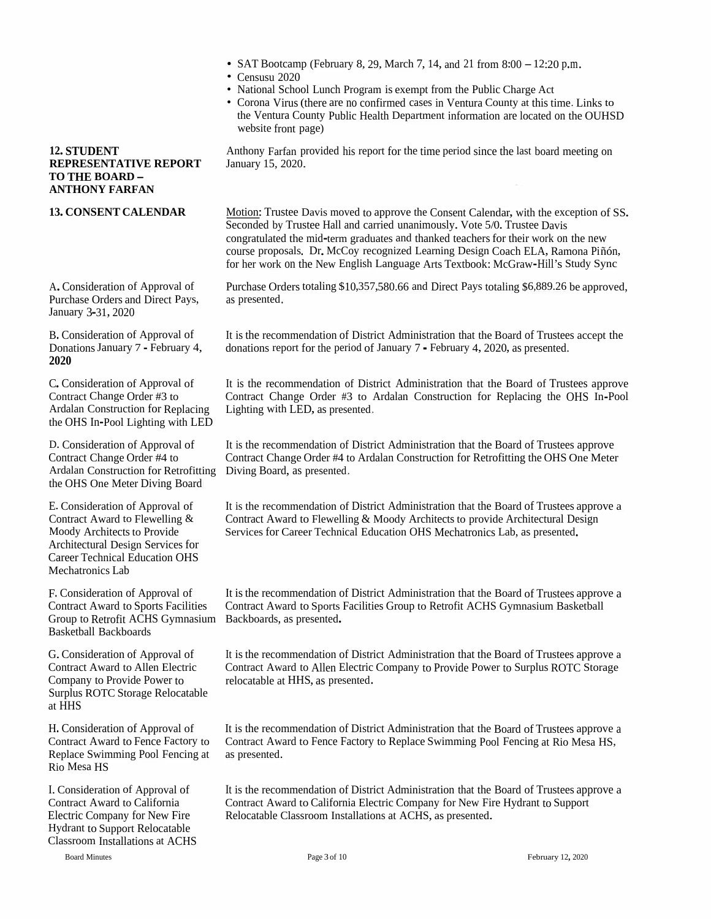- SAT Bootcamp (February 8, 29, March 7, 14, and 21 from  $8:00 12:20$  p.m.
- Censusu 2020
- National School Lunch Program is exemp<sup>t</sup> from the Public Charge Act
- Corona Virus (there are no confirmed cases in Ventura County at this time. Links to the Ventura County Public Health Department information are located on the OUHSD website front page)

Anthony Farfan provided his repor<sup>t</sup> for the time period since the last board meeting on

Motion: Trustee Davis moved to approve the Consent Calendar, with the exception of SS. Seconded by Trustee Hall and carried unanimously. Vote 5/0. Trustee Davis congratulated the mid-term graduates and thanked teachers for their work on the new course proposals. Dr. McCoy recognized Learning Design Coach ELA, Ramona Piñón, for her work on the New English Language Arts Textbook: McGraw-Hill's Study Sync

Purchase Orders totaling \$10,357,580.66 and Direct Pays totaling \$6,889.26 be approved, as presented.

A.Consideration of Approval of Purchase Orders and Direct Pays, January 3-31, 2020

January 15, 2020. **12. STUDENT REPRESENTATIVE REPORT**

**13. CONSENT CALENDAR**

**TO THE BOARD - ANTHONY FARFAN**

B. Consideration of Approval of DonationsJanuary <sup>7</sup> - February 4, **2020**

C.Consideration of Approval of Contract Change Order #3 to Ardalan Construction for Replacing Lighting with LED, as presented, the OHS In-Pool Lighting with LED

D. Consideration of Approval of Contract Change Order #4 to Ardalan Construction for Retrofitting Diving Board, as presented, the OHS One Meter Diving Board

E. Consideration of Approval of Contract Award to Flewelling & Moody Architects to Provide Architectural Design Services for Career Technical Education OHS Mechatronics Lab

F. Consideration of Approval of Contract Award to Sports Facilities Group to Retrofit ACHS Gymnasium Backboards, as presented. Basketball Backboards

G.Consideration of Approval of Contract Award to Allen Electric Company to Provide Power to Surplus ROTC Storage Relocatable at HHS

H. Consideration of Approval of Contract Award to Fence Factory to Replace Swimming Pool Fencing at Rio Mesa HS

I. Consideration of Approval of Contract Award to California Electric Company for New Fire Hydrant to Support Relocatable Classroom Installations at ACHS

Board Minutes

It is the recommendation of District Administration that the Board of Trustees accep<sup>t</sup> the donations repor<sup>t</sup> for the period of January 7 - February 4, 2020, as presented.

It is the recommendation of District Administration that the Board of Trustees approve Contract Change Order #3 to Ardalan Construction for Replacing the OHS In-Pool

It is the recommendation of District Administration that the Board of Trustees approve Contract Change Order #4 to Ardalan Construction for Retrofitting the OHS One Meter

It is the recommendation of District Administration that the Board of Trustees approve <sup>a</sup> Contract Award to Flewelling & Moody Architects to provide Architectural Design Services for Career Technical Education OHS Mechatronics Lab, as presented.

It is the recommendation of District Administration that the Board of Trustees approve <sup>a</sup> Contract Award to Sports Facilities Group to Retrofit ACHS Gymnasium Basketball

It is the recommendation of District Administration that the Board of Trustees approve <sup>a</sup> Contract Award to Allen Electric Company to Provide Power to Surplus ROTC Storage relocatable at HHS, as presented.

It is the recommendation of District Administration that the Board of Trustees approve <sup>a</sup> Contract Award to Fence Factory to Replace Swimming Pool Fencing at Rio Mesa HS, as presented.

It is the recommendation of District Administration that the Board of Trustees approve <sup>a</sup> Contract Award to California Electric Company for New Fire Hydrant to Support Relocatable Classroom Installations at ACHS, as presented.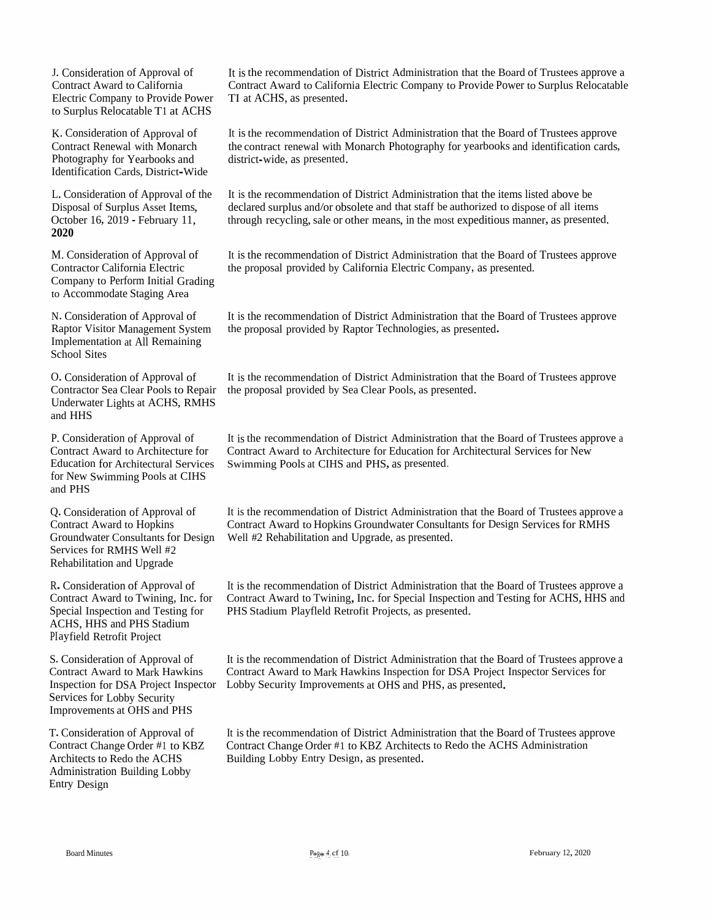J. Consideration of Approval of Contract Award to California Electric Company to Provide Power to Surplus Relocatable T1 at ACHS

K. Consideration of Approval of Contract Renewal with Monarch Photography for Yearbooks and<br>Identification Cerds, District W Identification Cards, District-Wide

L. Consideration of Approval of the Disposal of Surplus Asset Items, October 16, 2019 - February 11,<br>2020 **2020**

Company to Perform Initial Grading to Accommodate Staging Area

N. ConsiderationRaptor Visitor Management SystemImplementation at All Remaining School Sites

O. ConsiderationContractor Sea Clear Pools toContractor Sea Clear Pools to Repair – the proposal provided by Sea Clear Pools, as presented.<br>Underwater Lights at ACHS. RMHS Lights at ACHS, RMHSand HHS

P. Consideration of Approval of Contract Award to Architecture for Education for Architectural Services Swimming Education for Architectural Services – Swimming Pools at CIHS and PHS, as presented.<br>for New Swimming Pools at CIHS r New Swimming Pools at CIHS<br>d PHS and PHS

Groundwater Consultants for Designs for RMHS Well #2<br>litetion and Unamada Rehabilitation and Upgrade Q. Consideration of Approval of Contract Award to Hopkins

R. Consideration of Approval of Contract Award to<br>Special Increation Special Inspection and Testing for<br>ACUS JUIS and DUS Stadium ACHS, HHS and PHS Stadium<br>Playfield Betrefit Preject PIayfield Retrofit Project

S. Consideration of Approval of Contract Award to Mark Hawkins Inspection for DSAServices for Lobby Security Improvements at OHS and PHS

T.Consideration of Approval of Contract Change Order #1 to KBZArchitects to Redo the ACHS Administration Building Lobby Entry Design

It is the recommendation of District Administration that the Board of Trustees approve a<br>Contrast Armed to Galifamia Electric Company to Durvide Bourgets Symbols Belgettel Contract Award to California Electric Company to Provide Power to Surplus Relocatable<br>TL at ACUS as assessed TI at ACHS, as presented.

It is the recommendation of District Administration that the Board of Trustees approve the contract renewal with Monarch Photography for yearbooks and identification cards,<br>district with as greenated district-wide, as presented.

It is the recommendation of District Administration that the items listed above be<br>dealered symbols and/or aboalate and that staff he sutherized to dispasse of all item declared surplus and/or obsolete and that staff be authorized to dispose of all items<br>through generalize and or other means, in the mest expeditions meaner, as presents through recycling, sale or other means, in the most expeditious manner, as presented.

It is the recommendation of District Administration that the Board of Trustees approve<br>the gave real appriled by Colifornia Electric Company, as presented M. Consideration of Approval of It is the recommendation of District Administration that the Board of Contractor California Electric Company, as presented.<br>Contractor California Electric Company, as presented.

> n of Approval of It is the recommendation of District Administration that the Board of Trustees approve the proposa<sup>l</sup> provided by Raptor Technologies, as presented.

> n of Approval of It is the recommendation of District Administration that the Board of Trustees approve

It is the recommendation of District Administration that the Board of Trustees approve a<br>Contrast Armed to Architecture for Education for Architectural Services for New Contract Award to Architecture for Education for Architectural Services for New

It is the recommendation of District Administration that the Board of Trustees approve a<br>Centrest Arrest to Herbine Crown durates Consultants for Deiry Semices for DAUS Contract Award to Hopkins Groundwater Consultants for Design Services for RMHSWell #2 Rehabilitation and Upgrade, as presented.

o Twining, Inc. for Contract Award to Twining, Inc. for Special Inspection and Testing for ACHS, HHS and<br>n and Testing for PHS Stadium Playflald Retrofit Projects as presented It is the recommendation of District Administration that the Board of Trustees approve a<br>Clarkest Armed to Truining Jac for Special Interaction and Testing for ACUS JUIS and PHS Stadium Playfleld Retrofit Projects, as presented.

> Lobby Security Improvements at OHS and PHS, as presented. It is the recommendation of District Administration that the Board of Trustees approve a<br>Contract Armed to Mark Hambies Increasing for DSA Preject Increases Seminar for Contract Award to Mark Hawkins Inspection for DSA Project Inspector Services for

It is the recommendation of District Administration that the Board of Trustees approve Contract Change Order #1 to KBZ Architects to Redo the ACHS Administration Building Lobby Entry Design, as presented.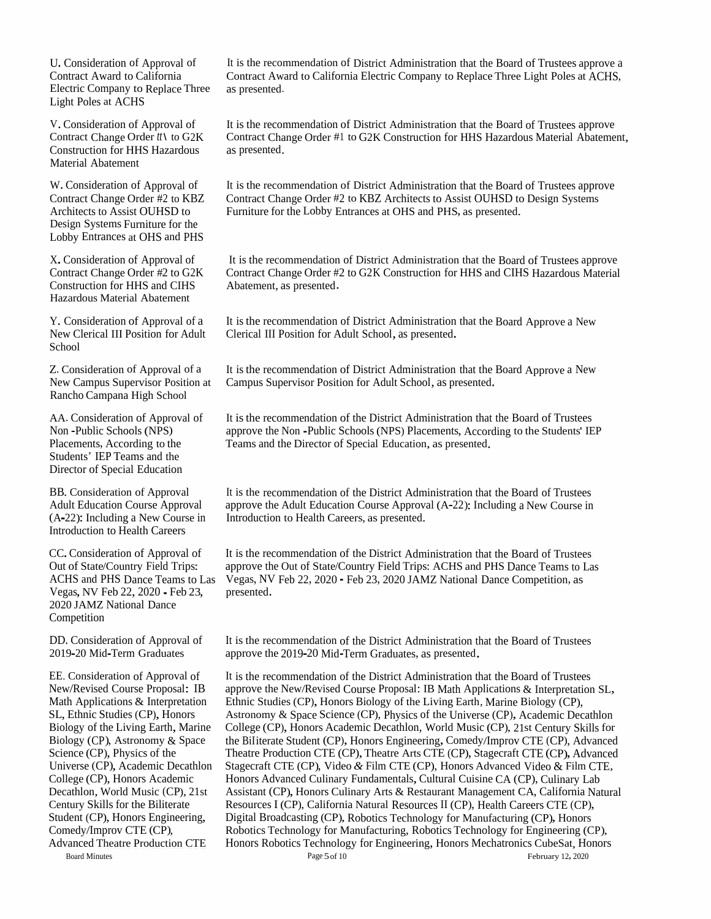U. Consideration of Approval of Contract Award to California Electric Company to Replace Three Light Poles at ACHS

V. Consideration of Approval of Contract Change Order *tt\* to G2K Construction for HHS Hazardous Material Abatement

W. Consideration of Approval of Contract Change Order #2 to KBZ Architects to Assist OUHSD to Design Systems Furniture for the Lobby Entrances at OHS and PHS

X.Consideration of Approval of Contract Change Order #2 to G2K Construction for HHS and CIHS Hazardous Material Abatement

Y. Consideration of Approval of <sup>a</sup> New Clerical III Position for Adult School

Rancho Campana High School

AA. Consideration of Approval of Non -Public Schools (NPS) Placements, According to the Students' IEP Teams and the Director of Special Education

BB. Consideration of Approval Adult Education Course Approval (A-22): Including <sup>a</sup> New Course in Introduction to Health Careers

CC.Consideration of Approval of Out of State/Country Field Trips: Vegas, NV Feb 22, <sup>2020</sup> - Feb 23, 2020 JAMZ National Dance Competition

DD. Consideration of Approval of 2019-20 Mid-Term Graduates

College (CP), Honors Academic Decathlon, World Music (CP), 21st Century Skills for the Biliterate Student (CP), Honors Engineering, Comedy/Improv CTE (CP), Advanced Theatre Production CTE Board Minutes

It is the recommendation of District Administration that the Board of Trustees approve <sup>a</sup> Contract Award to California Electric Company to Replace Three Light Poles at ACHS, as presented.

It is the recommendation of District Administration that the Board of Trustees approve Contract Change Order #1 to G2K Construction for HHS Hazardous Material Abatement, as presented.

It is the recommendation of District Administration that the Board of Trustees approve Contract Change Order #2 to KBZ Architects to Assist OUHSD to Design Systems Furniture for the Lobby Entrances at OHS and PHS, as presented.

It is the recommendation of District Administration that the Board of Trustees approve Contract Change Order #2 to G2K Construction for HHS and CIHS Hazardous Material Abatement, as presented.

It is the recommendation of District Administration that the Board Approve <sup>a</sup> New Clerical III Position for Adult School, as presented.

Z. Consideration of Approval of a It is the recommendation of District Administration that the Board Approve a New New Campus Supervisor Position at Campus Supervisor Position for Adult School, as presented.

> It is the recommendation of the District Administration that the Board of Trustees approve the Non -Public Schools(NPS) Placements, According to the Students' IEP Teams and the Director of Special Education, as presented.

It is the recommendation of the District Administration that the Board of Trustees approve the Adult Education Course Approval (A-22): Including <sup>a</sup> New Course in Introduction to Health Careers, as presented.

ACHS and PHS Dance Teams to Las Vegas, NV Feb 22, <sup>2020</sup> - Feb 23, <sup>2020</sup> JAMZ National Dance Competition, as It is the recommendation of the District Administration that the Board of Trustees approve the Out of State/Country Field Trips: ACHS and PHS Dance Teams to Las presented.

> It is the recommendation of the District Administration that the Board of Trustees approve the 2019-20 Mid-Term Graduates, as presented.

EE. Consideration of Approval of It is the recommendation of the District Administration that the Board of Trustees New/Revised Course Proposal: IB approve the New/Revised Course Proposal: IB Math Applications & Interpretation SL, Math Applications & Interpretation Ethnic Studies (CP), Honors Biology of the Living Earth, Marine Biology Ethnic Studies (CP), Honors Biology of the Living Earth, Marine Biology (CP), SL, Ethnic Studies (CP), Honors Astronomy & Space Science (CP), Physics of the Universe (CP), Academic Decathlon<br>Biology of the Living Earth, Marine College (CP), Honors Academic Decathlon, World Music (CP), 21st Century S College (CP), Honors Academic Decathlon, World Music (CP), 21st Century Skills for Biology (CP), Astronomy & Space the BiIiterate Student (CP), Honors Engineering, Comedy/Improv CTE (CP), Advanced Science (CP), Physics of the Theatre Production CTE (CP), Theatre Arts CTE (CP), Stagecraft CTE (CP), Advanc Theatre Production CTE (CP), Theatre Arts CTE (CP), Stagecraft CTE (CP), Advanced Universe (CP), Academic Decathlon Stagecraft CTE (CP), Video *&* Film CTE (CP), Honors Advanced Video & Film CTE, Honors Advanced Culinary Fundamentals, Cultural Cuisine CA (CP), Culinary Lab Assistant (CP), Honors Culinary Arts & Restaurant Management CA, California Natural Resources <sup>I</sup> (CP), California Natural Resources II (CP), Health Careers CTE (CP), Digital Broadcasting (CP), Robotics Technology for Manufacturing (CP), Honors Robotics Technology for Manufacturing, Robotics Technology for Engineering (CP), Honors Robotics Technology for Engineering, Honors Mechatronics CubeSat, Honors Page 5 of 10<br>February 12, 2020 February 12, 2020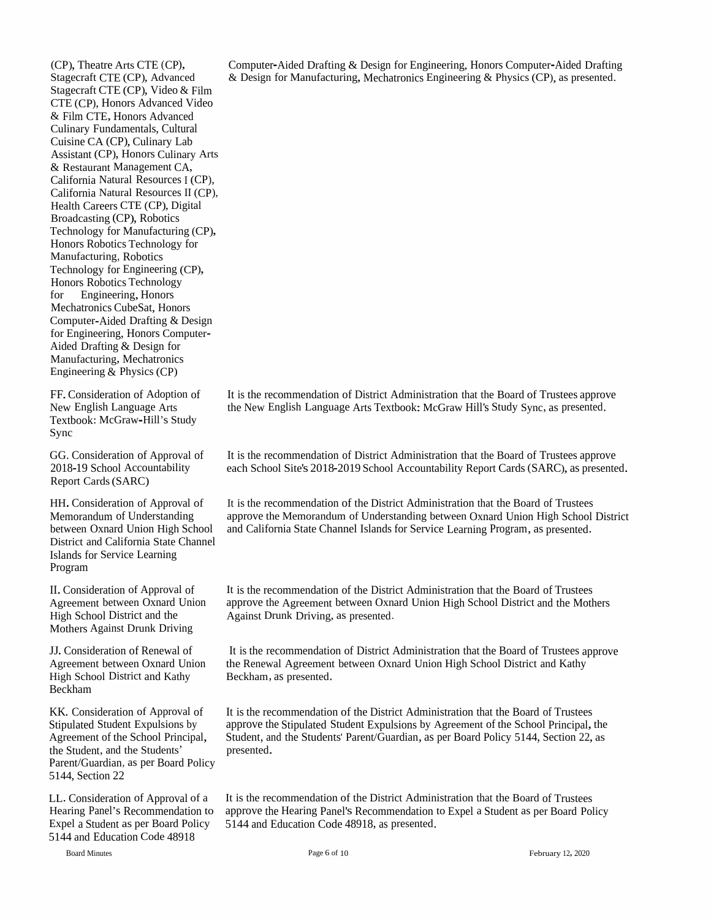(CP), Theatre Arts CTE (CP),<br>Stagecraft CTE (CP), Advance Stagecraft CTE (CP), Advanced<br>Stagecraft CTE (CP), Video & I Stagecraft CTE (CP), Video & Film<br>CTE (CP). Honors Advanced Video CTE (CP), Honors Advanced Video<br>& Film CTE, Honors Advanced & Film CTE, Honors Advanced Film CTE, Honors Advanced Culinary Fundamentals, Cultural Cuisine CACuisine CA (CP), Culinary Lab<br>Assistant (CP), Honors Culinary Arts<br>& Bettywest Monogament CA & Restaurant Management CA, Restaurant Management CA, California Natural Resources <sup>I</sup> (CP), California Natural Resources II (CP), Health Careers CTE (CP), Digital<br>Broadcasting (CP), Robotics Broadcasting (CP), Robotics Technology for Manufacturing (CP), Honors Robotics Technology for Manufacturing, Robotics Technology for Engineering (CP), Honors Robotics Technologyfor Engineering, HonorsMechatronics CubeSat, Honors Computer-Aided Drafting & D<br>for Engineering Honors Comm Computer-Aided Drafting & Design<br>for Engineering, Honors Computerfor Engineering, Honors Computer-<br>Aided Drafting & Design for<br>Manufacturius, Machatraniae Aided Drafting & Design for<br>Manufacturing, Mechatronics Engineering & Physics (CP)

FF. Consideration of Adoption of **New English Language Arts** New English Language Arts<br>Textbook: McGraw-Hill's Study<br>~ Sync

GG. Consideration2018-19 School Accountability Report Cards (SARC)

HH. ConsiderationMemorandum of Understanding between Oxnard Union High School and California State Channel Islands for Service LearningProgram

 II. Consideration of Approval of Agreement between Oxnard Union High School District and the<br>Mathem Agginat Drunk Driv Mothers Against Drunk Driving

JJ. Consideration of Renewal of Agreement between Oxnard Union High School District and Kathy Beckham

KK. Consideration of Approval of Stipulated Student Expulsions by<br>A secondary of the Sabasel Dringin Agreement of the School Principal, the Student, and the Students' Parent/Guardian, as per Board Policy 5144, Section <sup>22</sup>

LL. ConsiderationHearing Panel's RecommendationExpel a Student as per Board Policy 5144 5144 and Education Code <sup>48918</sup>

Computer-Aided Drafting &Computer-Aided Drafting & Design for Engineering, Honors Computer-Aided Drafting<br>& Design for Manufacturing, Mechatronics Engineering & Physics (CP), as presented.

It is the recommendation of District Administration that the Board of Trustees approve<br>the New Fuelish Language Asta Tarthaghs McCarey Hillie Study Suns, as approached the New English Language Arts Textbook: McGraw Hill's Study Sync, as presented.

n of Approval of It is the recommendation of District Administration that the Board of Trustees approve each School Site's 2018-2019 School Accountability Report Cards (SARC), as presented.

n of Approval of It is the recommendation of the District Administration that the Board of Trustees Memorandum of Understanding approve the Memorandum of Understanding between Oxnard Union High School District<br>between Oxnard Union High School and California State Channel Islands for Service Learning Program, as presented

> It is the recommendation of the District Administration that the Board of Trustees approve the Agreement between Oxnard Union High School District and the Mothers Against Drunk Driving, as presented.

It is the recommendation of District Administration that the Board of Trustees approve<br>he Board of Agriculture Conservation Union United School District and Kathar the Renewal Agreement between Oxnard Union High School District and Kathy<br>Realthaus as assessed Beckham, as presented.

It is the recommendation of the District Administration that the Board of Trustees approve the Stipulated Student Expulsions by Agreement of the School Principal, the<br>Student and the Students' Penant Cusedian, as not Pased Policy 5144, Section 22, as Student, and the Students' Parent/Guardian, as per Board Policy 5144, Section 22, as presented.

It is the recommendation of the District Administration that the Board of Trustees n to approve the Hearing Panel's Recommendation to Expel a Student as per Board Policy 5144 and Education Code 48918, as presented.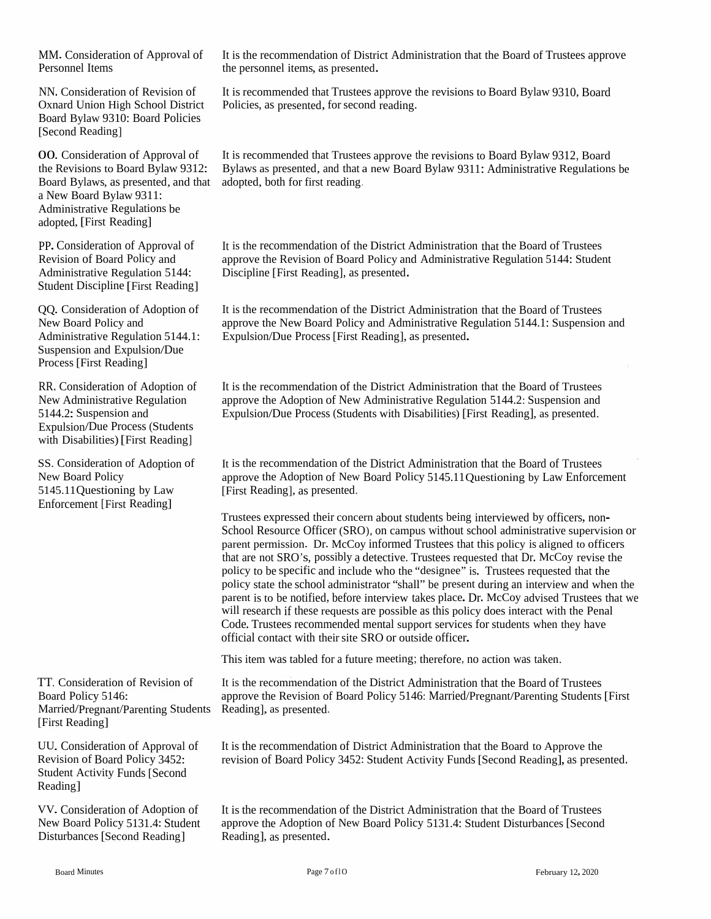Personnel Items the personnel items, as presented.

NN. Consideration of Revision of Oxnard Union High School District Board Bylaw 9310: Board Policies [Second Reading]

00. Consideration of Approval of the Revisions to Board Bylaw 9312: Board Bylaws, as presented, and that adopted, both for first reading, <sup>a</sup> New Board Bylaw 9311: Administrative Regulations be adopted,[First Reading]

PP.Consideration of Approval of Revision of Board Policy and Administrative Regulation 5144: Student Discipline [First Reading]

QQ. Consideration of Adoption of New Board Policy and Administrative Regulation 5144.1: Suspension and Expulsion/Due Process [First Reading]

RR. Consideration of Adoption of New Administrative Regulation 5144.2: Suspension and Expulsion/Due Process (Students with Disabilities)[First Reading]

SS. Consideration of Adoption of New Board Policy 5145.11Questioning by Law Enforcement [First Reading]

TT. Consideration of Revision of Board Policy 5146: Married/Pregnant/Parenting Students Reading], as presented. [First Reading]

UU. Consideration of Approval of Revision of Board Policy 3452: Student Activity Funds [Second Reading]

VV. Consideration of Adoption of New Board Policy 5131.4: Student Disturbances [Second Reading]

MM. Consideration of Approval of It is the recommendation of District Administration that the Board of Trustees approve

It is recommended that Trustees approve the revisions to Board Bylaw 9310, Board Policies, as presented, for second reading.

It is recommended that Trustees approve the revisions to Board Bylaw 9312, Board Bylaws as presented, and that <sup>a</sup> new Board Bylaw 9311: Administrative Regulations be

It is the recommendation of the District Administration that the Board of Trustees approve the Revision of Board Policy and Administrative Regulation 5144: Student Discipline [First Reading], as presented.

It is the recommendation of the District Administration that the Board of Trustees approve the New Board Policy and Administrative Regulation 5144.1: Suspension and Expulsion/Due Process [First Reading], as presented.

It is the recommendation of the District Administration that the Board of Trustees approve the Adoption of New Administrative Regulation 5144.2: Suspension and Expulsion/Due Process (Students with Disabilities) [First Reading], as presented.

It is the recommendation of the District Administration that the Board of Trustees approve the Adoption of New Board Policy 5145.11Questioning by Law Enforcement [First Reading], as presented.

Trustees expressed their concern about students being interviewed by officers, non- School Resource Officer (SRO), on campus without school administrative supervision or paren<sup>t</sup> permission. Dr. McCoy informed Trustees that this policy is aligned to officers that are not SRO's, possibly <sup>a</sup> detective. Trustees requested that Dr. McCoy revise the policy to be specific and include who the "designee" is. Trustees requested that the policy state the school administrator "shall" be presen<sup>t</sup> during an interview and when the paren<sup>t</sup> is to be notified, before interview takes <sup>p</sup>lace. Dr. McCoy advised Trustees that we will research if these requests are possible as this policy does interact with the Penal Code. Trustees recommended mental suppor<sup>t</sup> services for students when they have official contact with their site SRO or outside officer.

This item was tabled for <sup>a</sup> future meeting; therefore, no action was taken.

It is the recommendation of the District Administration that the Board of Trustees approve the Revision of Board Policy 5146: Married/Pregnant/Parenting Students [First

It is the recommendation of District Administration that the Board to Approve the revision of Board Policy 3452: Student Activity Funds [Second Reading], as presented.

It is the recommendation of the District Administration that the Board of Trustees approve the Adoption of New Board Policy 5131.4: Student Disturbances [Second Reading], as presented.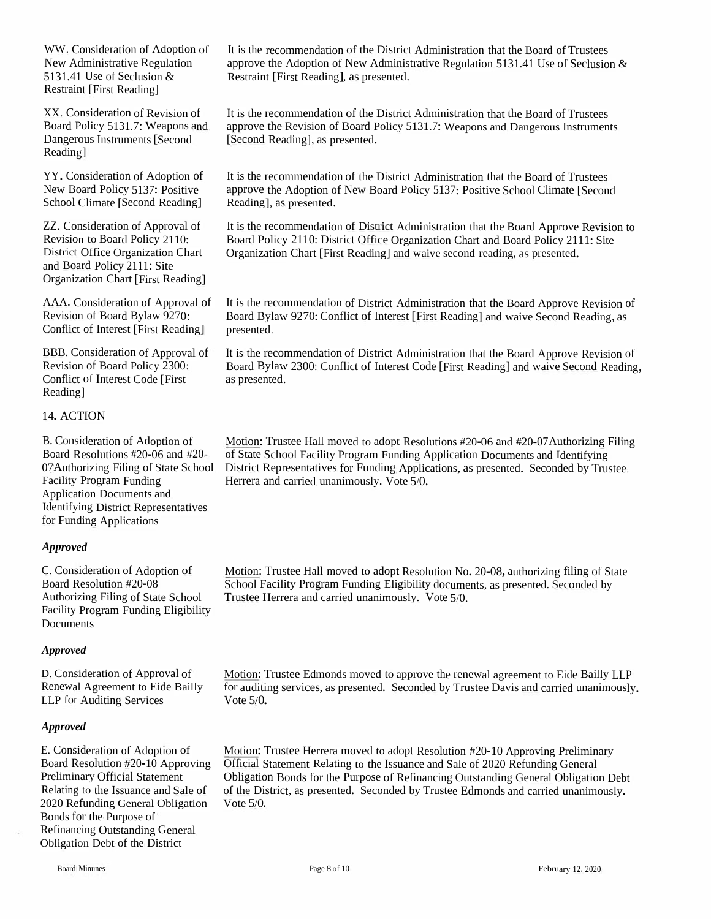WW. Consideration of Adoption of New Administrative Regulation<br>5131 41 Use of Seclusion & 5131.41 Use of Seclusion &<br>Postraint Ulisat Beading Restraint [First Reading]

XX. Consideration of Revision of<br>Poerd Policy 5121.7: Wesners an Board Policy 5131.7: Weapons andDangerous Instruments[SecondReading]

YY. Consideration of Adoption of New Board Policy <sup>5137</sup>: Positive School Climate [Second Reading]

ZZ. Consideration of Approval of Revision to Board Policy 2110:<br>District Office Over 1: 11 Cl District Office Organization Chart and Board Policy 2111: Site<br>Creating Chart First B Organization Chart [First Reading]

AAA. ConsiderationRevision of Board Bylaw<br>Conflict of Interest [First <sup>9270</sup>: Conflict of Interest [First Reading]

BBB. ConsiderationRevision of Board Policy 2300:<br>Conflict of Interest Cade [Einth Conflict of Interest Code [First Reading]

## 14. ACTION

B. Consideration of Adoption of Board Resolutions #20-<sup>06</sup>07Authorizing Filing<br>Essility Pressum Fra Facility ProgramApplication Documents and<br>Identifying District Documents Identifying District Representatives for Funding Applications

#### *Approved*

C. Consideration of Adoption of Board Resolution #20-<sup>08</sup> Authorizing Filing of State School Facility Program Funding Eligibility Documents

#### *Approved*

D. Consideration of Approval of Renewal Agreement to Eide Bailly<br>LLB for Auditing Services LLP for Auditing Services

### *Approved*

E. Consideration of Adoption of Board Resolution<br>Proliminary Office Preliminary Official Statement<br>Pelatina to the Issues Relating to the Issuance and<br>2020 Befording Gaussel Ob 2020 Refunding General Obligation — Vote 5/0.<br>Bonds for the Purpose of s for the Purpose of Refinancing Outstanding General Obligation Debt of the District

It is the recommendation of the District Administration that the Board of Trustees approve the Adoption of New Administrative Regulation 5131.41 Use of Seclusion &<br>Restraint [First Reading], as presented Restraint [First Reading], as presented.

It is the recommendation of the District Administration that the Board of Trustees approve the Revision of Board Policy 5131.7: Weapons and Dangerous Instruments<br>[Second Boading], as researted [Second Reading], as presented.

It is the recommendation of the District Administration that the Board of Trustees approve the Adoption of New Board Policy 5137: Positive School Climate [Second<br>Reading1. as presented. Reading], as presented.

It is the recommendation of District Administration that the Board Approve Revision to<br>Reard Policy 2110: District Office Organization Chert and Reard Policy 2111: Site Board Policy <sup>2110</sup>: District Office Organization Chart and Board Policy <sup>2111</sup>: Site Organization Chart [First Reading] and waive second reading, as presented.

n of Approval of It is the recommendation of District Administration that the Board Approve Revision of Review 0270. Board Bylaw 9270: Conflict of Interest [First Reading] and waive Second Reading, as<br>presented presented.

n of Approval of It is the recommendation of District Administration that the Board Approve Revision of <br>Policy 2300: Read Bylaw 2300: Conflict of Interest Code [First Boading] and waive Second Boading Board Bylaw 2300: Conflict of Interest Code [First Reading] and waive Second Reading,<br>as presented. as presented.

ption of Motion: Trustee Hall moved to adopt Resolutions #20-06 and #20-07Authorizing Filing 6 and #20-<br>6 and #20-<br>State School District Bonresontatives for Eureling Applications as approached School by Trustee #20-06 and #20-<br>g of State School District Representatives for Funding Applications, as presented. Seconded by Trustee<br>mating and acception of a presentative state of the State School District Representatives for Funding A Herrera and carried unanimously. Vote 5/0.

> Motion: Trustee Hall moved to adopt Resolution No. 20-08, authorizing filing of State<br>Sabool Feaility Program Funding Eligibility deguments, as researted Seconded by School Facility Program Funding Eligibility documents, as presented. Seconded by<br>Trustee Herrera and carried unanimously. Vote 5/0. Trustee Herrera and carried unanimously. Vote <sup>5</sup>/0.

Motion: Trustee Edmonds moved to approve the renewal agreement to Eide Bailly LLP<br>for auditing corriece, as presented. Seconded by Trustee Davis and carried unanimously for auditing services, as presented. Seconded by Trustee Davis and carried unanimously.<br>Vote 5/0. Vote 5/0.

n #20-10 Approving Official Statement Relating to the Issuance and Sale of 2020 Refunding General Relating to the Issuance and Sale of of the District, as presented. Seconded by Trustee Edmonds and carried unanimously.<br>2020 Refunding General Obligation Vote 5/0. Motion: Trustee Herrera moved to adopt Resolution #20-10 Approving Preliminary<br>Official Statement Belating to the Issuence and Sele of 2020 Befunding Ceneral Obligation Bonds for the Purpose of Refinancing Outstanding General Obligation Debt<br>of the District, as any sented. Seconded by Trustee Educational and senied weaken.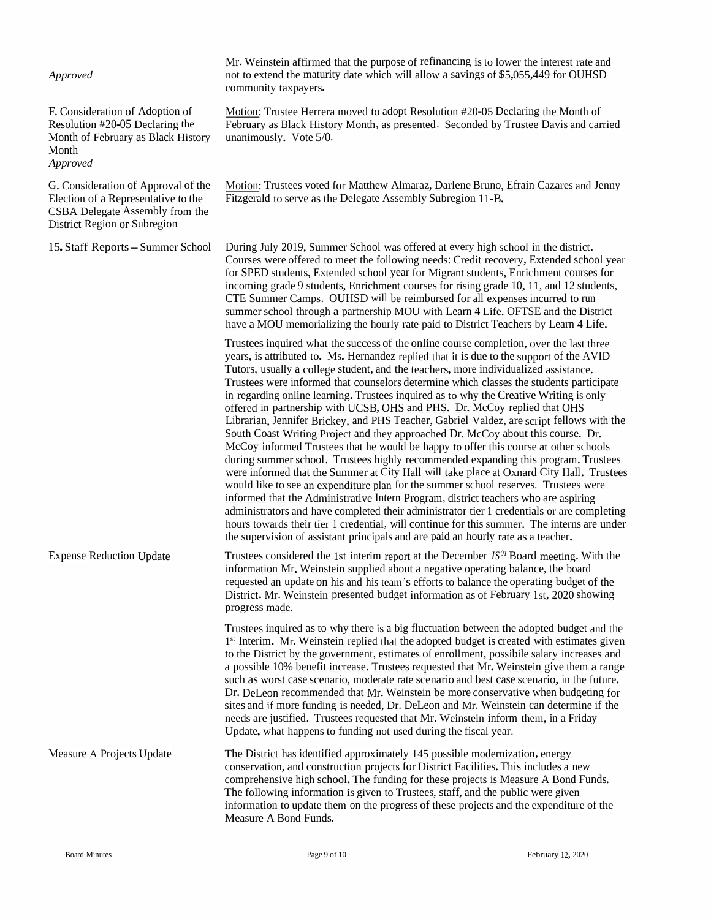| Approved                                                                                                                                      | Mr. Weinstein affirmed that the purpose of refinancing is to lower the interest rate and<br>not to extend the maturity date which will allow a savings of \$5,055,449 for OUHSD<br>community taxpayers.                                                                                                                                                                                                                                                                                                                                                                                                                                                                                                                                                                                                                                                                                                                                                                                                                                                                                                                                                                                                                                                                                                                                                                                                                                                                  |
|-----------------------------------------------------------------------------------------------------------------------------------------------|--------------------------------------------------------------------------------------------------------------------------------------------------------------------------------------------------------------------------------------------------------------------------------------------------------------------------------------------------------------------------------------------------------------------------------------------------------------------------------------------------------------------------------------------------------------------------------------------------------------------------------------------------------------------------------------------------------------------------------------------------------------------------------------------------------------------------------------------------------------------------------------------------------------------------------------------------------------------------------------------------------------------------------------------------------------------------------------------------------------------------------------------------------------------------------------------------------------------------------------------------------------------------------------------------------------------------------------------------------------------------------------------------------------------------------------------------------------------------|
| F. Consideration of Adoption of<br>Resolution #20-05 Declaring the<br>Month of February as Black History<br>Month<br>Approved                 | Motion: Trustee Herrera moved to adopt Resolution #20-05 Declaring the Month of<br>February as Black History Month, as presented. Seconded by Trustee Davis and carried<br>unanimously. Vote 5/0.                                                                                                                                                                                                                                                                                                                                                                                                                                                                                                                                                                                                                                                                                                                                                                                                                                                                                                                                                                                                                                                                                                                                                                                                                                                                        |
| G. Consideration of Approval of the<br>Election of a Representative to the<br>CSBA Delegate Assembly from the<br>District Region or Subregion | Motion: Trustees voted for Matthew Almaraz, Darlene Bruno, Efrain Cazares and Jenny<br>Fitzgerald to serve as the Delegate Assembly Subregion 11-B.                                                                                                                                                                                                                                                                                                                                                                                                                                                                                                                                                                                                                                                                                                                                                                                                                                                                                                                                                                                                                                                                                                                                                                                                                                                                                                                      |
| 15. Staff Reports - Summer School                                                                                                             | During July 2019, Summer School was offered at every high school in the district.<br>Courses were offered to meet the following needs: Credit recovery, Extended school year<br>for SPED students, Extended school year for Migrant students, Enrichment courses for<br>incoming grade 9 students, Enrichment courses for rising grade 10, 11, and 12 students,<br>CTE Summer Camps. OUHSD will be reimbursed for all expenses incurred to run<br>summer school through a partnership MOU with Learn 4 Life. OFTSE and the District<br>have a MOU memorializing the hourly rate paid to District Teachers by Learn 4 Life.                                                                                                                                                                                                                                                                                                                                                                                                                                                                                                                                                                                                                                                                                                                                                                                                                                               |
|                                                                                                                                               | Trustees inquired what the success of the online course completion, over the last three<br>years, is attributed to. Ms. Hernandez replied that it is due to the support of the AVID<br>Tutors, usually a college student, and the teachers, more individualized assistance.<br>Trustees were informed that counselors determine which classes the students participate<br>in regarding online learning. Trustees inquired as to why the Creative Writing is only<br>offered in partnership with UCSB, OHS and PHS. Dr. McCoy replied that OHS<br>Librarian, Jennifer Brickey, and PHS Teacher, Gabriel Valdez, are script fellows with the<br>South Coast Writing Project and they approached Dr. McCoy about this course. Dr.<br>McCoy informed Trustees that he would be happy to offer this course at other schools<br>during summer school. Trustees highly recommended expanding this program. Trustees<br>were informed that the Summer at City Hall will take place at Oxnard City Hall. Trustees<br>would like to see an expenditure plan for the summer school reserves. Trustees were<br>informed that the Administrative Intern Program, district teachers who are aspiring<br>administrators and have completed their administrator tier 1 credentials or are completing<br>hours towards their tier 1 credential, will continue for this summer. The interns are under<br>the supervision of assistant principals and are paid an hourly rate as a teacher. |
| <b>Expense Reduction Update</b>                                                                                                               | Trustees considered the 1st interim report at the December $IS^{0I}$ Board meeting. With the<br>information Mr. Weinstein supplied about a negative operating balance, the board<br>requested an update on his and his team's efforts to balance the operating budget of the<br>District. Mr. Weinstein presented budget information as of February 1st, 2020 showing<br>progress made.                                                                                                                                                                                                                                                                                                                                                                                                                                                                                                                                                                                                                                                                                                                                                                                                                                                                                                                                                                                                                                                                                  |
|                                                                                                                                               | Trustees inquired as to why there is a big fluctuation between the adopted budget and the<br>1st Interim. Mr. Weinstein replied that the adopted budget is created with estimates given<br>to the District by the government, estimates of enrollment, possibile salary increases and<br>a possible 10% benefit increase. Trustees requested that Mr. Weinstein give them a range<br>such as worst case scenario, moderate rate scenario and best case scenario, in the future.<br>Dr. DeLeon recommended that Mr. Weinstein be more conservative when budgeting for<br>sites and if more funding is needed, Dr. DeLeon and Mr. Weinstein can determine if the<br>needs are justified. Trustees requested that Mr. Weinstein inform them, in a Friday<br>Update, what happens to funding not used during the fiscal year.                                                                                                                                                                                                                                                                                                                                                                                                                                                                                                                                                                                                                                                |
| Measure A Projects Update                                                                                                                     | The District has identified approximately 145 possible modernization, energy<br>conservation, and construction projects for District Facilities. This includes a new<br>comprehensive high school. The funding for these projects is Measure A Bond Funds.<br>The following information is given to Trustees, staff, and the public were given<br>information to update them on the progress of these projects and the expenditure of the<br>Measure A Bond Funds.                                                                                                                                                                                                                                                                                                                                                                                                                                                                                                                                                                                                                                                                                                                                                                                                                                                                                                                                                                                                       |